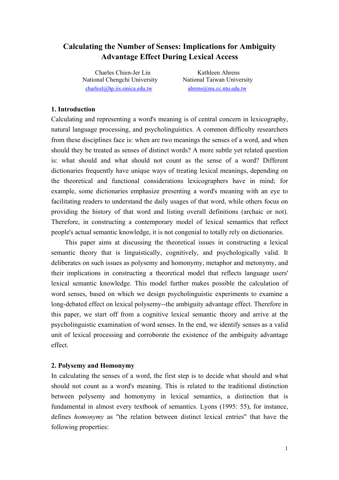# **Calculating the Number of Senses: Implications for Ambiguity Advantage Effect During Lexical Access**

Charles Chien-Jer Lin Kathleen Ahrens National Chengchi University National Taiwan University charlesl@hp.iis.sinica.edu.tw ahrens@ms.cc.ntu.edu.tw

# **1. Introduction**

Calculating and representing a word's meaning is of central concern in lexicography, natural language processing, and psycholinguistics. A common difficulty researchers from these disciplines face is: when are two meanings the senses of a word, and when should they be treated as senses of distinct words? A more subtle yet related question is: what should and what should not count as the sense of a word? Different dictionaries frequently have unique ways of treating lexical meanings, depending on the theoretical and functional considerations lexicographers have in mind; for example, some dictionaries emphasize presenting a word's meaning with an eye to facilitating readers to understand the daily usages of that word, while others focus on providing the history of that word and listing overall definitions (archaic or not). Therefore, in constructing a contemporary model of lexical semantics that reflect people's actual semantic knowledge, it is not congenial to totally rely on dictionaries.

 This paper aims at discussing the theoretical issues in constructing a lexical semantic theory that is linguistically, cognitively, and psychologically valid. It deliberates on such issues as polysemy and homonymy, metaphor and metonymy, and their implications in constructing a theoretical model that reflects language users' lexical semantic knowledge. This model further makes possible the calculation of word senses, based on which we design psycholinguistic experiments to examine a long-debated effect on lexical polysemy--the ambiguity advantage effect. Therefore in this paper, we start off from a cognitive lexical semantic theory and arrive at the psycholinguistic examination of word senses. In the end, we identify senses as a valid unit of lexical processing and corroborate the existence of the ambiguity advantage effect.

### **2. Polysemy and Homonymy**

In calculating the senses of a word, the first step is to decide what should and what should not count as a word's meaning. This is related to the traditional distinction between polysemy and homonymy in lexical semantics, a distinction that is fundamental in almost every textbook of semantics. Lyons (1995: 55), for instance, defines *homonymy* as "the relation between distinct lexical entries" that have the following properties: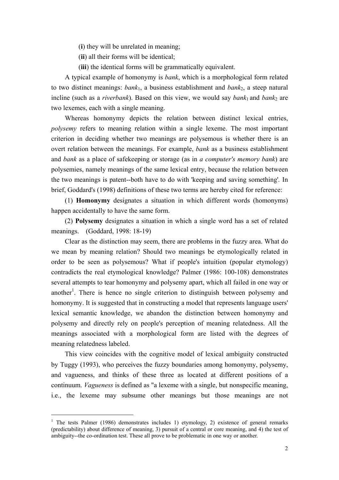(**i**) they will be unrelated in meaning;

(**ii**) all their forms will be identical;

(**iii**) the identical forms will be grammatically equivalent.

 A typical example of homonymy is *bank*, which is a morphological form related to two distinct meanings: *bank*1, a business establishment and *bank*2, a steep natural incline (such as a *riverbank*). Based on this view, we would say *bank*<sub>1</sub> and *bank*<sub>2</sub> are two lexemes, each with a single meaning.

Whereas homonymy depicts the relation between distinct lexical entries, *polysemy* refers to meaning relation within a single lexeme. The most important criterion in deciding whether two meanings are polysemous is whether there is an overt relation between the meanings. For example, *bank* as a business establishment and *bank* as a place of safekeeping or storage (as in *a computer's memory bank*) are polysemies, namely meanings of the same lexical entry, because the relation between the two meanings is patent--both have to do with 'keeping and saving something'*.* In brief, Goddard's (1998) definitions of these two terms are hereby cited for reference:

(1) **Homonymy** designates a situation in which different words (homonyms) happen accidentally to have the same form.

(2) **Polysemy** designates a situation in which a single word has a set of related meanings. (Goddard, 1998: 18-19)

Clear as the distinction may seem, there are problems in the fuzzy area. What do we mean by meaning relation? Should two meanings be etymologically related in order to be seen as polysemous? What if people's intuition (popular etymology) contradicts the real etymological knowledge? Palmer (1986: 100-108) demonstrates several attempts to tear homonymy and polysemy apart, which all failed in one way or another<sup>1</sup>. There is hence no single criterion to distinguish between polysemy and homonymy. It is suggested that in constructing a model that represents language users' lexical semantic knowledge, we abandon the distinction between homonymy and polysemy and directly rely on people's perception of meaning relatedness. All the meanings associated with a morphological form are listed with the degrees of meaning relatedness labeled.

This view coincides with the cognitive model of lexical ambiguity constructed by Tuggy (1993), who perceives the fuzzy boundaries among homonymy, polysemy, and vagueness, and thinks of these three as located at different positions of a continuum. *Vagueness* is defined as "a lexeme with a single, but nonspecific meaning, i.e., the lexeme may subsume other meanings but those meanings are not

 $\overline{a}$ 

<sup>&</sup>lt;sup>1</sup> The tests Palmer (1986) demonstrates includes 1) etymology, 2) existence of general remarks (predictability) about difference of meaning, 3) pursuit of a central or core meaning, and 4) the test of ambiguity--the co-ordination test. These all prove to be problematic in one way or another.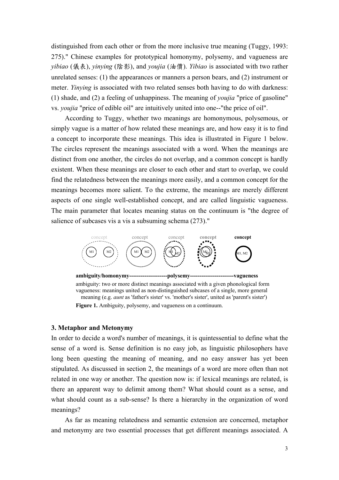distinguished from each other or from the more inclusive true meaning (Tuggy, 1993: 275)." Chinese examples for prototypical homonymy, polysemy, and vagueness are *yibiao* (儀表), *yinying* (陰影), and *youjia* (油價). *Yibiao* is associated with two rather unrelated senses: (1) the appearances or manners a person bears, and (2) instrument or meter. *Yinying* is associated with two related senses both having to do with darkness: (1) shade, and (2) a feeling of unhappiness. The meaning of *youjia* "price of gasoline" vs. *youjia* "price of edible oil" are intuitively united into one--"the price of oil".

According to Tuggy, whether two meanings are homonymous, polysemous, or simply vague is a matter of how related these meanings are, and how easy it is to find a concept to incorporate these meanings. This idea is illustrated in Figure 1 below. The circles represent the meanings associated with a word. When the meanings are distinct from one another, the circles do not overlap, and a common concept is hardly existent. When these meanings are closer to each other and start to overlap, we could find the relatedness between the meanings more easily, and a common concept for the meanings becomes more salient. To the extreme, the meanings are merely different aspects of one single well-established concept, and are called linguistic vagueness. The main parameter that locates meaning status on the continuum is "the degree of salience of subcases vis a vis a subsuming schema (273)."



ambiguity: two or more distinct meanings associated with a given phonological form vagueness: meanings united as non-distinguished subcases of a single, more general meaning (e.g. *aunt* as 'father's sister' vs. 'mother's sister', united as 'parent's sister') **Figure 1.** Ambiguity, polysemy, and vagueness on a continuum.

### **3. Metaphor and Metonymy**

In order to decide a word's number of meanings, it is quintessential to define what the sense of a word is. Sense definition is no easy job, as linguistic philosophers have long been questing the meaning of meaning, and no easy answer has yet been stipulated. As discussed in section 2, the meanings of a word are more often than not related in one way or another. The question now is: if lexical meanings are related, is there an apparent way to delimit among them? What should count as a sense, and what should count as a sub-sense? Is there a hierarchy in the organization of word meanings?

As far as meaning relatedness and semantic extension are concerned, metaphor and metonymy are two essential processes that get different meanings associated. A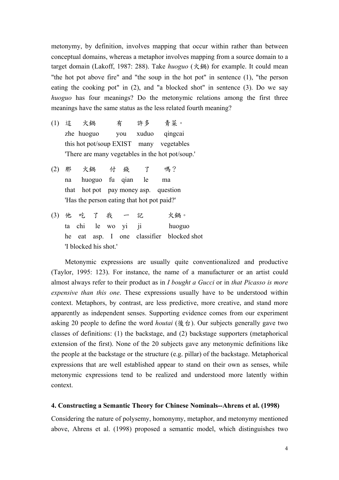metonymy, by definition, involves mapping that occur within rather than between conceptual domains, whereas a metaphor involves mapping from a source domain to a target domain (Lakoff, 1987: 288). Take *huoguo* (火鍋) for example. It could mean "the hot pot above fire" and "the soup in the hot pot" in sentence (1), "the person eating the cooking pot" in (2), and "a blocked shot" in sentence (3). Do we say *huoguo* has four meanings? Do the metonymic relations among the first three meanings have the same status as the less related fourth meaning?

- (1) 這 火鍋 有 許多 青菜。 zhe huoguo you xuduo qingcai this hot pot/soup EXIST many vegetables 'There are many vegetables in the hot pot/soup.'
- (2) 那 火鍋 付 錢 了 嗎? na huoguo fu qian le ma that hot pot pay money asp. question 'Has the person eating that hot pot paid?'
- (3) 他 吃 了 我 一 記 火鍋。 ta chi le wo yi ji huoguo he eat asp. I one classifier blocked shot 'I blocked his shot.'

Metonymic expressions are usually quite conventionalized and productive (Taylor, 1995: 123). For instance, the name of a manufacturer or an artist could almost always refer to their product as in *I bought a Gucci* or in *that Picasso is more expensive than this one*. These expressions usually have to be understood within context. Metaphors, by contrast, are less predictive, more creative, and stand more apparently as independent senses. Supporting evidence comes from our experiment asking 20 people to define the word *houtai* (後台). Our subjects generally gave two classes of definitions: (1) the backstage, and (2) backstage supporters (metaphorical extension of the first). None of the 20 subjects gave any metonymic definitions like the people at the backstage or the structure (e.g. pillar) of the backstage. Metaphorical expressions that are well established appear to stand on their own as senses, while metonymic expressions tend to be realized and understood more latently within context.

# **4. Constructing a Semantic Theory for Chinese Nominals--Ahrens et al. (1998)**

Considering the nature of polysemy, homonymy, metaphor, and metonymy mentioned above, Ahrens et al. (1998) proposed a semantic model, which distinguishes two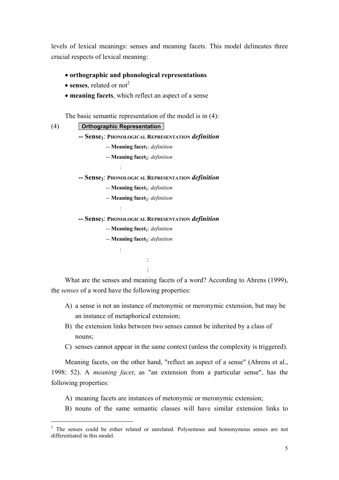levels of lexical meanings: senses and meaning facets. This model delineates three crucial respects of lexical meaning:

- **orthographic and phonological representations**
- **senses**, related or not<sup>2</sup>
- **meaning facets**, which reflect an aspect of a sense

The basic semantic representation of the model is in (4):

 $\overline{a}$ 

### (4) **Orthographic Representation**

:

:

:

**-- Sense1**: **PHONOLOGICAL REPRESENTATION** *definition* 

- -- **Meaning facet**<sub>1</sub>: *definition*
- -- **Meaning facet**<sub>2</sub>: *definition*

**-- Sense2**: **PHONOLOGICAL REPRESENTATION** *definition*

- -- **Meaning facet**<sub>1</sub>: *definition*
- -- **Meaning facet**<sub>2</sub>: *definition*

**-- Sense3**: **PHONOLOGICAL REPRESENTATION** *definition* 

- -- **Meaning facet**<sub>1</sub>: *definition*
- -- **Meaning facet**<sub>2</sub>: *definition*

: 10 minutes : 10 minutes

What are the senses and meaning facets of a word? According to Ahrens (1999), the *senses* of a word have the following properties:

- A) a sense is not an instance of metonymic or meronymic extension, but may be an instance of metaphorical extension;
- B) the extension links between two senses cannot be inherited by a class of nouns;
- C) senses cannot appear in the same context (unless the complexity is triggered).

Meaning facets, on the other hand, "reflect an aspect of a sense" (Ahrens et al., 1998: 52). A *meaning facet*, as "an extension from a particular sense", has the following properties:

- A) meaning facets are instances of metonymic or meronymic extension;
- B) nouns of the same semantic classes will have similar extension links to

<sup>&</sup>lt;sup>2</sup> The senses could be either related or unrelated. Polysemous and homonymous senses are not differentiated in this model.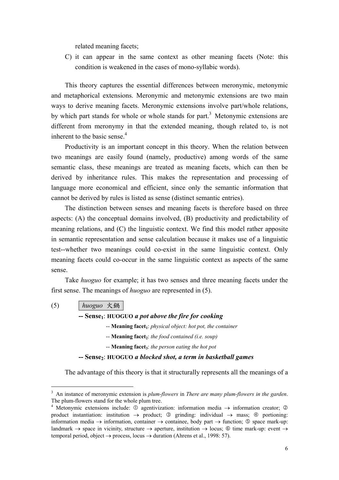related meaning facets;

C) it can appear in the same context as other meaning facets (Note: this condition is weakened in the cases of mono-syllabic words).

This theory captures the essential differences between meronymic, metonymic and metaphorical extensions. Meronymic and metonymic extensions are two main ways to derive meaning facets. Meronymic extensions involve part/whole relations, by which part stands for whole or whole stands for part.<sup>3</sup> Metonymic extensions are different from meronymy in that the extended meaning, though related to, is not inherent to the basic sense.<sup>4</sup>

Productivity is an important concept in this theory. When the relation between two meanings are easily found (namely, productive) among words of the same semantic class, these meanings are treated as meaning facets, which can then be derived by inheritance rules. This makes the representation and processing of language more economical and efficient, since only the semantic information that cannot be derived by rules is listed as sense (distinct semantic entries).

The distinction between senses and meaning facets is therefore based on three aspects: (A) the conceptual domains involved, (B) productivity and predictability of meaning relations, and (C) the linguistic context. We find this model rather apposite in semantic representation and sense calculation because it makes use of a linguistic test--whether two meanings could co-exist in the same linguistic context. Only meaning facets could co-occur in the same linguistic context as aspects of the same sense.

Take *huoguo* for example; it has two senses and three meaning facets under the first sense. The meanings of *huoguo* are represented in (5).

(5) *huoguo* 火鍋

 $\overline{a}$ 

- **-- Sense1**: **HUOGUO** *a pot above the fire for cooking*
	- -- **Meaning facet**<sub>1</sub>: *physical object: hot pot, the container*
	- -- **Meaning facet**<sub>2</sub>: *the food contained (i.e. soup)*
	- -- **Meaning facet**<sup>*s*</sup>: *the person eating the hot pot*

**-- Sense2**: **HUOGUO** *a blocked shot, a term in basketball games*

The advantage of this theory is that it structurally represents all the meanings of a

<sup>3</sup> An instance of meronymic extension is *plum-flowers* in *There are many plum-flowers in the garden*. The plum-flowers stand for the whole plum tree.

<sup>&</sup>lt;sup>4</sup> Metonymic extensions include:  $\odot$  agentivization: information media  $\rightarrow$  information creator;  $\odot$ product instantiation: institution  $\rightarrow$  product;  $\circled{$  grinding: individual  $\rightarrow$  mass;  $\circled{}$  portioning: information media  $\rightarrow$  information, container  $\rightarrow$  containee, body part  $\rightarrow$  function;  $\circledcirc$  space mark-up: landmark  $\rightarrow$  space in vicinity, structure  $\rightarrow$  aperture, institution  $\rightarrow$  locus;  $\circledcirc$  time mark-up: event  $\rightarrow$ temporal period, object  $\rightarrow$  process, locus  $\rightarrow$  duration (Ahrens et al., 1998: 57).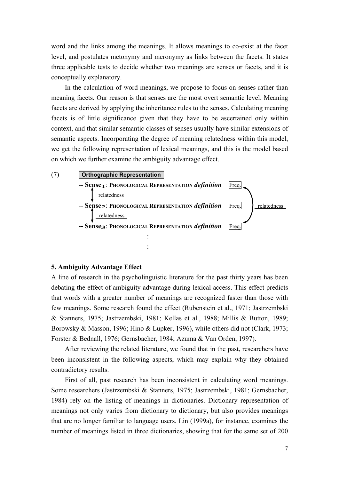word and the links among the meanings. It allows meanings to co-exist at the facet level, and postulates metonymy and meronymy as links between the facets. It states three applicable tests to decide whether two meanings are senses or facets, and it is conceptually explanatory.

In the calculation of word meanings, we propose to focus on senses rather than meaning facets. Our reason is that senses are the most overt semantic level. Meaning facets are derived by applying the inheritance rules to the senses. Calculating meaning facets is of little significance given that they have to be ascertained only within context, and that similar semantic classes of senses usually have similar extensions of semantic aspects. Incorporating the degree of meaning relatedness within this model, we get the following representation of lexical meanings, and this is the model based on which we further examine the ambiguity advantage effect.



#### **5. Ambiguity Advantage Effect**

A line of research in the psycholinguistic literature for the past thirty years has been debating the effect of ambiguity advantage during lexical access. This effect predicts that words with a greater number of meanings are recognized faster than those with few meanings. Some research found the effect (Rubenstein et al., 1971; Jastrzembski & Stanners, 1975; Jastrzembski, 1981; Kellas et al., 1988; Millis & Button, 1989; Borowsky & Masson, 1996; Hino & Lupker, 1996), while others did not (Clark, 1973; Forster & Bednall, 1976; Gernsbacher, 1984; Azuma & Van Orden, 1997).

 After reviewing the related literature, we found that in the past, researchers have been inconsistent in the following aspects, which may explain why they obtained contradictory results.

First of all, past research has been inconsistent in calculating word meanings. Some researchers (Jastrzembski & Stanners, 1975; Jastrzembski, 1981; Gernsbacher, 1984) rely on the listing of meanings in dictionaries. Dictionary representation of meanings not only varies from dictionary to dictionary, but also provides meanings that are no longer familiar to language users. Lin (1999a), for instance, examines the number of meanings listed in three dictionaries, showing that for the same set of 200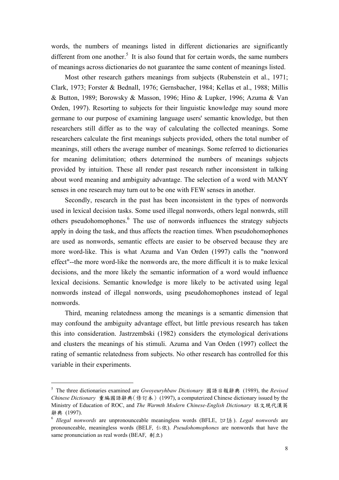words, the numbers of meanings listed in different dictionaries are significantly different from one another.<sup>5</sup> It is also found that for certain words, the same numbers of meanings across dictionaries do not guarantee the same content of meanings listed.

Most other research gathers meanings from subjects (Rubenstein et al., 1971; Clark, 1973; Forster & Bednall, 1976; Gernsbacher, 1984; Kellas et al., 1988; Millis & Button, 1989; Borowsky & Masson, 1996; Hino & Lupker, 1996; Azuma & Van Orden, 1997). Resorting to subjects for their linguistic knowledge may sound more germane to our purpose of examining language users' semantic knowledge, but then researchers still differ as to the way of calculating the collected meanings. Some researchers calculate the first meanings subjects provided, others the total number of meanings, still others the average number of meanings. Some referred to dictionaries for meaning delimitation; others determined the numbers of meanings subjects provided by intuition. These all render past research rather inconsistent in talking about word meaning and ambiguity advantage. The selection of a word with MANY senses in one research may turn out to be one with FEW senses in another.

Secondly, research in the past has been inconsistent in the types of nonwords used in lexical decision tasks. Some used illegal nonwords, others legal nonwrds, still others pseudohomophones.<sup>6</sup> The use of nonwords influences the strategy subjects apply in doing the task, and thus affects the reaction times. When pseudohomophones are used as nonwords, semantic effects are easier to be observed because they are more word-like. This is what Azuma and Van Orden (1997) calls the "nonword effect"--the more word-like the nonwords are, the more difficult it is to make lexical decisions, and the more likely the semantic information of a word would influence lexical decisions. Semantic knowledge is more likely to be activated using legal nonwords instead of illegal nonwords, using pseudohomophones instead of legal nonwords.

Third, meaning relatedness among the meanings is a semantic dimension that may confound the ambiguity advantage effect, but little previous research has taken this into consideration. Jastrzembski (1982) considers the etymological derivations and clusters the meanings of his stimuli. Azuma and Van Orden (1997) collect the rating of semantic relatedness from subjects. No other research has controlled for this variable in their experiments.

 $\overline{a}$ 

<sup>5</sup> The three dictionaries examined are *Gwoyeuryhbaw Dictionary* 國語日報辭典 (1989), the *Revised Chinese Dictionary* 重編國語辭典(修訂本) (1997), a computerized Chinese dictionary issued by the Ministry of Education of ROC, and *The Warmth Modern Chinese-English Dictionary* 旺文現代漢英 辭典 (1997). 6 *Illegal nonwords* are unpronounceable meaningless words (BFLE, 欠口艮糸 ). *Legal nonwords* are

pronounceable, meaningless words (BELF, 仁依). *Pseudohomophones* are nonwords that have the same pronunciation as real words (BEAF, 剩立)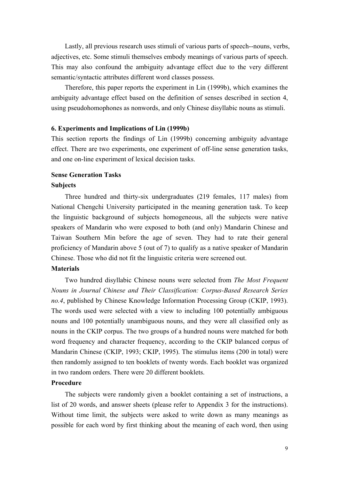Lastly, all previous research uses stimuli of various parts of speech--nouns, verbs, adjectives, etc. Some stimuli themselves embody meanings of various parts of speech. This may also confound the ambiguity advantage effect due to the very different semantic/syntactic attributes different word classes possess.

Therefore, this paper reports the experiment in Lin (1999b), which examines the ambiguity advantage effect based on the definition of senses described in section 4, using pseudohomophones as nonwords, and only Chinese disyllabic nouns as stimuli.

### **6. Experiments and Implications of Lin (1999b)**

This section reports the findings of Lin (1999b) concerning ambiguity advantage effect. There are two experiments, one experiment of off-line sense generation tasks, and one on-line experiment of lexical decision tasks.

### **Sense Generation Tasks**

### **Subjects**

 Three hundred and thirty-six undergraduates (219 females, 117 males) from National Chengchi University participated in the meaning generation task. To keep the linguistic background of subjects homogeneous, all the subjects were native speakers of Mandarin who were exposed to both (and only) Mandarin Chinese and Taiwan Southern Min before the age of seven. They had to rate their general proficiency of Mandarin above 5 (out of 7) to qualify as a native speaker of Mandarin Chinese. Those who did not fit the linguistic criteria were screened out.

### **Materials**

 Two hundred disyllabic Chinese nouns were selected from *The Most Frequent Nouns in Journal Chinese and Their Classification: Corpus-Based Research Series no.4*, published by Chinese Knowledge Information Processing Group (CKIP, 1993). The words used were selected with a view to including 100 potentially ambiguous nouns and 100 potentially unambiguous nouns, and they were all classified only as nouns in the CKIP corpus. The two groups of a hundred nouns were matched for both word frequency and character frequency, according to the CKIP balanced corpus of Mandarin Chinese (CKIP, 1993; CKIP, 1995). The stimulus items (200 in total) were then randomly assigned to ten booklets of twenty words. Each booklet was organized in two random orders. There were 20 different booklets.

#### **Procedure**

 The subjects were randomly given a booklet containing a set of instructions, a list of 20 words, and answer sheets (please refer to Appendix 3 for the instructions). Without time limit, the subjects were asked to write down as many meanings as possible for each word by first thinking about the meaning of each word, then using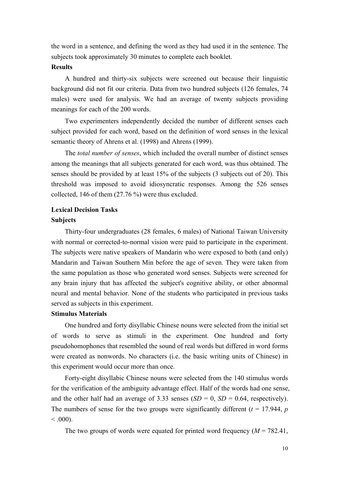the word in a sentence, and defining the word as they had used it in the sentence. The subjects took approximately 30 minutes to complete each booklet.

## **Results**

A hundred and thirty-six subjects were screened out because their linguistic background did not fit our criteria. Data from two hundred subjects (126 females, 74 males) were used for analysis. We had an average of twenty subjects providing meanings for each of the 200 words.

 Two experimenters independently decided the number of different senses each subject provided for each word, based on the definition of word senses in the lexical semantic theory of Ahrens et al. (1998) and Ahrens (1999).

The *total number of senses*, which included the overall number of distinct senses among the meanings that all subjects generated for each word, was thus obtained. The senses should be provided by at least 15% of the subjects (3 subjects out of 20). This threshold was imposed to avoid idiosyncratic responses. Among the 526 senses collected, 146 of them (27.76 %) were thus excluded.

# **Lexical Decision Tasks**

#### **Subjects**

 Thirty-four undergraduates (28 females, 6 males) of National Taiwan University with normal or corrected-to-normal vision were paid to participate in the experiment. The subjects were native speakers of Mandarin who were exposed to both (and only) Mandarin and Taiwan Southern Min before the age of seven. They were taken from the same population as those who generated word senses. Subjects were screened for any brain injury that has affected the subject's cognitive ability, or other abnormal neural and mental behavior. None of the students who participated in previous tasks served as subjects in this experiment.

### **Stimulus Materials**

One hundred and forty disyllabic Chinese nouns were selected from the initial set of words to serve as stimuli in the experiment. One hundred and forty pseudohomophones that resembled the sound of real words but differed in word forms were created as nonwords. No characters (i.e. the basic writing units of Chinese) in this experiment would occur more than once.

Forty-eight disyllabic Chinese nouns were selected from the 140 stimulus words for the verification of the ambiguity advantage effect. Half of the words had one sense, and the other half had an average of 3.33 senses  $(SD = 0, SD = 0.64$ , respectively). The numbers of sense for the two groups were significantly different  $(t = 17.944, p$  $< 0.000$ .

The two groups of words were equated for printed word frequency  $(M = 782.41)$ ,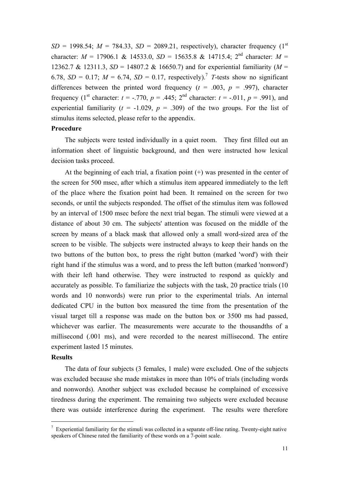$SD = 1998.54$ ;  $M = 784.33$ ,  $SD = 2089.21$ , respectively), character frequency (1<sup>st</sup>) character:  $M = 17906.1$  & 14533.0,  $SD = 15635.8$  & 14715.4; 2<sup>nd</sup> character:  $M =$ 12362.7 & 12311.3, *SD* = 14807.2 & 16650.7) and for experiential familiarity (*M* = 6.78,  $SD = 0.17$ ;  $M = 6.74$ ,  $SD = 0.17$ , respectively).<sup>7</sup> *T*-tests show no significant differences between the printed word frequency  $(t = .003, p = .997)$ , character frequency (1<sup>st</sup> character:  $t = -0.770$ ,  $p = 0.445$ ; 2<sup>nd</sup> character:  $t = -0.011$ ,  $p = 0.991$ ), and experiential familiarity ( $t = -1.029$ ,  $p = .309$ ) of the two groups. For the list of stimulus items selected, please refer to the appendix.

### **Procedure**

 The subjects were tested individually in a quiet room. They first filled out an information sheet of linguistic background, and then were instructed how lexical decision tasks proceed.

 At the beginning of each trial, a fixation point (+) was presented in the center of the screen for 500 msec, after which a stimulus item appeared immediately to the left of the place where the fixation point had been. It remained on the screen for two seconds, or until the subjects responded. The offset of the stimulus item was followed by an interval of 1500 msec before the next trial began. The stimuli were viewed at a distance of about 30 cm. The subjects' attention was focused on the middle of the screen by means of a black mask that allowed only a small word-sized area of the screen to be visible. The subjects were instructed always to keep their hands on the two buttons of the button box, to press the right button (marked 'word') with their right hand if the stimulus was a word, and to press the left button (marked 'nonword') with their left hand otherwise. They were instructed to respond as quickly and accurately as possible. To familiarize the subjects with the task, 20 practice trials (10 words and 10 nonwords) were run prior to the experimental trials. An internal dedicated CPU in the button box measured the time from the presentation of the visual target till a response was made on the button box or 3500 ms had passed, whichever was earlier. The measurements were accurate to the thousandths of a millisecond (.001 ms), and were recorded to the nearest millisecond. The entire experiment lasted 15 minutes.

#### **Results**

 $\overline{a}$ 

The data of four subjects (3 females, 1 male) were excluded. One of the subjects was excluded because she made mistakes in more than 10% of trials (including words and nonwords). Another subject was excluded because he complained of excessive tiredness during the experiment. The remaining two subjects were excluded because there was outside interference during the experiment. The results were therefore

 $7$  Experiential familiarity for the stimuli was collected in a separate off-line rating. Twenty-eight native speakers of Chinese rated the familiarity of these words on a 7-point scale.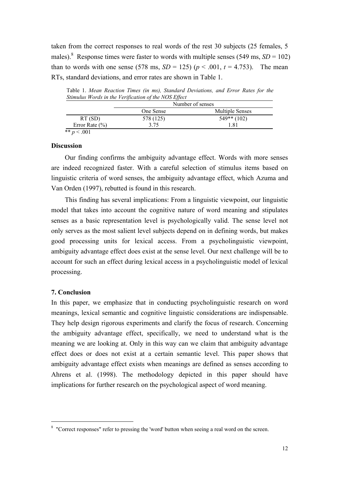taken from the correct responses to real words of the rest 30 subjects (25 females, 5 males).<sup>8</sup> Response times were faster to words with multiple senses (549 ms,  $SD = 102$ ) than to words with one sense (578 ms,  $SD = 125$ ) ( $p < .001$ ,  $t = 4.753$ ). The mean RTs, standard deviations, and error rates are shown in Table 1.

Table 1. *Mean Reaction Times (in ms), Standard Deviations, and Error Rates for the Stimulus Words in the Verification of the NOS Effect* 

| One Sense | <b>Multiple Senses</b> |
|-----------|------------------------|
| 578 (125) | $549**$ (102)          |
| 3.75      | 181                    |
|           |                        |

# **Discussion**

 Our finding confirms the ambiguity advantage effect. Words with more senses are indeed recognized faster. With a careful selection of stimulus items based on linguistic criteria of word senses, the ambiguity advantage effect, which Azuma and Van Orden (1997), rebutted is found in this research.

 This finding has several implications: From a linguistic viewpoint, our linguistic model that takes into account the cognitive nature of word meaning and stipulates senses as a basic representation level is psychologically valid. The sense level not only serves as the most salient level subjects depend on in defining words, but makes good processing units for lexical access. From a psycholinguistic viewpoint, ambiguity advantage effect does exist at the sense level. Our next challenge will be to account for such an effect during lexical access in a psycholinguistic model of lexical processing.

#### **7. Conclusion**

 $\overline{a}$ 

In this paper, we emphasize that in conducting psycholinguistic research on word meanings, lexical semantic and cognitive linguistic considerations are indispensable. They help design rigorous experiments and clarify the focus of research. Concerning the ambiguity advantage effect, specifically, we need to understand what is the meaning we are looking at. Only in this way can we claim that ambiguity advantage effect does or does not exist at a certain semantic level. This paper shows that ambiguity advantage effect exists when meanings are defined as senses according to Ahrens et al. (1998). The methodology depicted in this paper should have implications for further research on the psychological aspect of word meaning.

<sup>&</sup>lt;sup>8</sup> "Correct responses" refer to pressing the 'word' button when seeing a real word on the screen.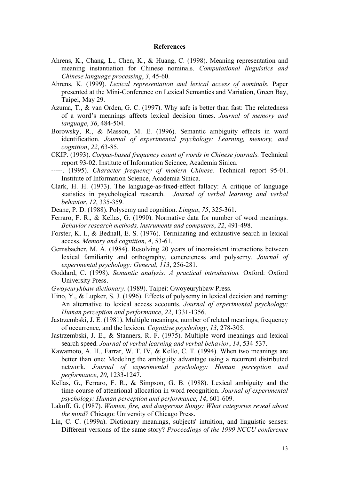### **References**

- Ahrens, K., Chang, L., Chen, K., & Huang, C. (1998). Meaning representation and meaning instantiation for Chinese nominals. *Computational linguistics and Chinese language processing*, *3*, 45-60.
- Ahrens, K. (1999). *Lexical representation and lexical access of nominals.* Paper presented at the Mini-Conference on Lexical Semantics and Variation, Green Bay, Taipei, May 29.
- Azuma, T., & van Orden, G. C. (1997). Why safe is better than fast: The relatedness of a word's meanings affects lexical decision times. *Journal of memory and language*, *36*, 484-504.
- Borowsky, R., & Masson, M. E. (1996). Semantic ambiguity effects in word identification. *Journal of experimental psychology: Learning, memory, and cognition*, *22*, 63-85.
- CKIP. (1993). *Corpus-based frequency count of words in Chinese journals.* Technical report 93-02. Institute of Information Science, Academia Sinica.
- -----. (1995). *Character frequency of modern Chinese.* Technical report 95-01. Institute of Information Science, Academia Sinica.
- Clark, H. H. (1973). The language-as-fixed-effect fallacy: A critique of language statistics in psychological research. *Journal of verbal learning and verbal behavior*, *12*, 335-359.
- Deane, P. D. (1988). Polysemy and cognition. *Lingua*, *75*, 325-361.
- Ferraro, F. R., & Kellas, G. (1990). Normative data for number of word meanings. *Behavior research methods, instruments and computers*, *22*, 491-498.
- Forster, K. I., & Bednall, E. S. (1976). Terminating and exhaustive search in lexical access. *Memory and cognition*, *4*, 53-61.
- Gernsbacher, M. A. (1984). Resolving 20 years of inconsistent interactions between lexical familiarity and orthography, concreteness and polysemy. *Journal of experimental psychology: General*, *113*, 256-281.
- Goddard, C. (1998). *Semantic analysis: A practical introduction.* Oxford: Oxford University Press.
- *Gwoyeuryhbaw dictionary*. (1989). Taipei: Gwoyeuryhbaw Press.
- Hino, Y., & Lupker, S. J. (1996). Effects of polysemy in lexical decision and naming: An alternative to lexical access accounts. *Journal of experimental psychology: Human perception and performance*, *22*, 1331-1356.
- Jastrzembski, J. E. (1981). Multiple meanings, number of related meanings, frequency of occurrence, and the lexicon. *Cognitive psychology*, *13*, 278-305.
- Jastrzembski, J. E., & Stanners, R. F. (1975). Multiple word meanings and lexical search speed. *Journal of verbal learning and verbal behavior*, *14*, 534-537.
- Kawamoto, A. H., Farrar, W. T. IV, & Kello, C. T. (1994). When two meanings are better than one: Modeling the ambiguity advantage using a recurrent distributed network. *Journal of experimental psychology: Human perception and performance*, *20*, 1233-1247.
- Kellas, G., Ferraro, F. R., & Simpson, G. B. (1988). Lexical ambiguity and the time-course of attentional allocation in word recognition. *Journal of experimental psychology: Human perception and performance*, *14*, 601-609.
- Lakoff, G. (1987). *Women, fire, and dangerous things: What categories reveal about the mind?* Chicago: University of Chicago Press.
- Lin, C. C. (1999a). Dictionary meanings, subjects' intuition, and linguistic senses: Different versions of the same story? *Proceedings of the 1999 NCCU conference*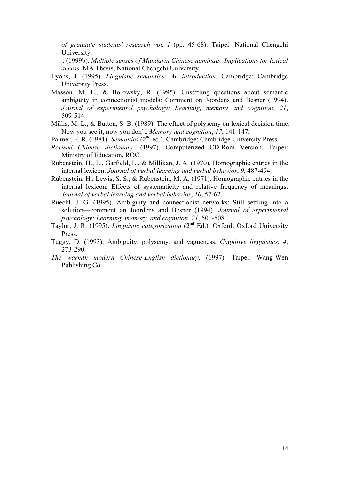*of graduate students' research vol. I* (pp. 45-68). Taipei: National Chengchi University.

- -----. (1999b). *Multiple senses of Mandarin Chinese nominals: Implications for lexical access*. MA Thesis, National Chengchi University.
- Lyons, J. (1995). *Linguistic semantics: An introduction.* Cambridge: Cambridge University Press.
- Masson, M. E., & Borowsky, R. (1995). Unsettling questions about semantic ambiguity in connectionist models: Comment on Joordens and Besner (1994). *Journal of experimental psychology: Learning, memory and cognition*, *21*, 509-514.
- Millis, M. L., & Button, S. B. (1989). The effect of polysemy on lexical decision time: Now you see it, now you don't. *Memory and cognition*, *17*, 141-147.
- Palmer, F. R. (1981). *Semantics* (2<sup>nd</sup> ed.). Cambridge: Cambridge University Press.
- *Revised Chinese dictionary*. (1997). Computerized CD-Rom Version. Taipei: Ministry of Education, ROC.
- Rubenstein, H., L., Garfield, L., & Millikan, J. A. (1970). Homographic entries in the internal lexicon. *Journal of verbal learning and verbal behavior*, *9*, 487-494.
- Rubenstein, H., Lewis, S. S., & Rubenstein, M. A. (1971). Homographic entries in the internal lexicon: Effects of systematicity and relative frequency of meanings. *Journal of verbal learning and verbal behavior*, *10*, 57-62.
- Rueckl, J. G. (1995). Ambiguity and connectionist networks: Still settling into a solution—comment on Joordens and Besner (1994). *Journal of experimental psychology: Learning, memory, and cognition*, *21*, 501-508.
- Taylor, J. R. (1995). *Linguistic categorization* (2<sup>nd</sup> Ed.). Oxford: Oxford University Press.
- Tuggy, D. (1993). Ambiguity, polysemy, and vagueness. *Cognitive linguistics*, *4*, 273-290.
- *The warmth modern Chinese-English dictionary.* (1997). Taipei: Wang-Wen Publishing Co.